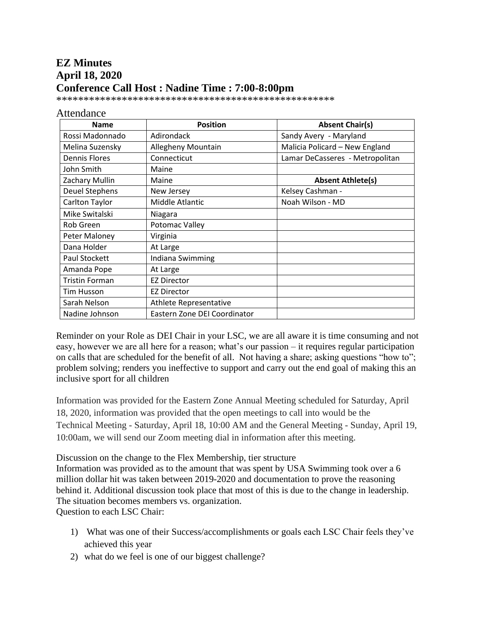# **EZ Minutes April 18, 2020 Conference Call Host : Nadine Time : 7:00-8:00pm**

\*\*\*\*\*\*\*\*\*\*\*\*\*\*\*\*\*\*\*\*\*\*\*\*\*\*\*\*\*\*\*\*\*\*\*\*\*\*\*\*\*\*\*\*\*\*\*\*\*\*\*

#### Attendance

| <b>Name</b>           | <b>Position</b>               | <b>Absent Chair(s)</b>          |
|-----------------------|-------------------------------|---------------------------------|
| Rossi Madonnado       | Adirondack                    | Sandy Avery - Maryland          |
| Melina Suzensky       | Allegheny Mountain            | Malicia Policard - New England  |
| <b>Dennis Flores</b>  | Connecticut                   | Lamar DeCasseres - Metropolitan |
| John Smith            | Maine                         |                                 |
| Zachary Mullin        | Maine                         | <b>Absent Athlete(s)</b>        |
| <b>Deuel Stephens</b> | New Jersey                    | Kelsey Cashman -                |
| Carlton Taylor        | Middle Atlantic               | Noah Wilson - MD                |
| Mike Switalski        | Niagara                       |                                 |
| Rob Green             | Potomac Valley                |                                 |
| Peter Maloney         | Virginia                      |                                 |
| Dana Holder           | At Large                      |                                 |
| Paul Stockett         | Indiana Swimming              |                                 |
| Amanda Pope           | At Large                      |                                 |
| <b>Tristin Forman</b> | <b>EZ Director</b>            |                                 |
| Tim Husson            | <b>EZ Director</b>            |                                 |
| Sarah Nelson          | <b>Athlete Representative</b> |                                 |
| Nadine Johnson        | Eastern Zone DEI Coordinator  |                                 |

Reminder on your Role as DEI Chair in your LSC, we are all aware it is time consuming and not easy, however we are all here for a reason; what's our passion – it requires regular participation on calls that are scheduled for the benefit of all. Not having a share; asking questions "how to"; problem solving; renders you ineffective to support and carry out the end goal of making this an inclusive sport for all children

Information was provided for the Eastern Zone Annual Meeting scheduled for Saturday, April 18, 2020, information was provided that the open meetings to call into would be the Technical Meeting - Saturday, April 18, 10:00 AM and the General Meeting - Sunday, April 19, 10:00am, we will send our Zoom meeting dial in information after this meeting.

Discussion on the change to the Flex Membership, tier structure

Information was provided as to the amount that was spent by USA Swimming took over a 6 million dollar hit was taken between 2019-2020 and documentation to prove the reasoning behind it. Additional discussion took place that most of this is due to the change in leadership. The situation becomes members vs. organization. Question to each LSC Chair:

1) What was one of their Success/accomplishments or goals each LSC Chair feels they've achieved this year

2) what do we feel is one of our biggest challenge?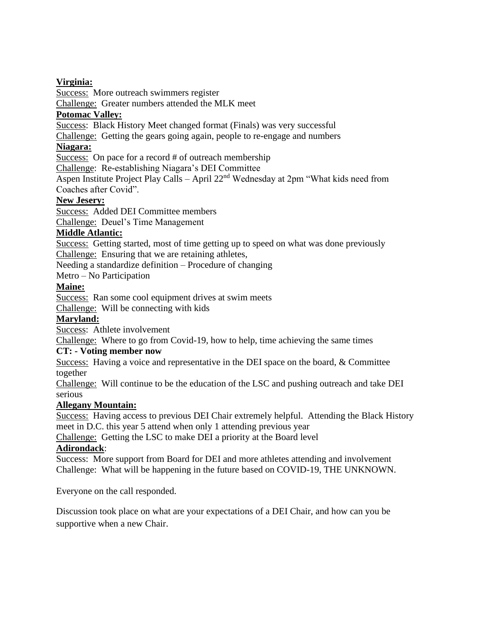#### **Virginia:**

Success: More outreach swimmers register

Challenge: Greater numbers attended the MLK meet

#### **Potomac Valley:**

Success: Black History Meet changed format (Finals) was very successful

Challenge: Getting the gears going again, people to re-engage and numbers

#### **Niagara:**

Success: On pace for a record # of outreach membership

Challenge: Re-establishing Niagara's DEI Committee

Aspen Institute Project Play Calls – April 22nd Wednesday at 2pm "What kids need from Coaches after Covid".

#### **New Jesery:**

Success: Added DEI Committee members

Challenge: Deuel's Time Management

#### **Middle Atlantic:**

Success: Getting started, most of time getting up to speed on what was done previously Challenge: Ensuring that we are retaining athletes,

Needing a standardize definition – Procedure of changing

Metro – No Participation

### **Maine:**

Success: Ran some cool equipment drives at swim meets

Challenge: Will be connecting with kids

## **Maryland:**

Success: Athlete involvement

Challenge: Where to go from Covid-19, how to help, time achieving the same times

#### **CT: - Voting member now**

Success: Having a voice and representative in the DEI space on the board, & Committee together

Challenge: Will continue to be the education of the LSC and pushing outreach and take DEI serious

## **Allegany Mountain:**

Success: Having access to previous DEI Chair extremely helpful. Attending the Black History meet in D.C. this year 5 attend when only 1 attending previous year

Challenge: Getting the LSC to make DEI a priority at the Board level

## **Adirondack**:

Success: More support from Board for DEI and more athletes attending and involvement Challenge: What will be happening in the future based on COVID-19, THE UNKNOWN.

Everyone on the call responded.

Discussion took place on what are your expectations of a DEI Chair, and how can you be supportive when a new Chair.